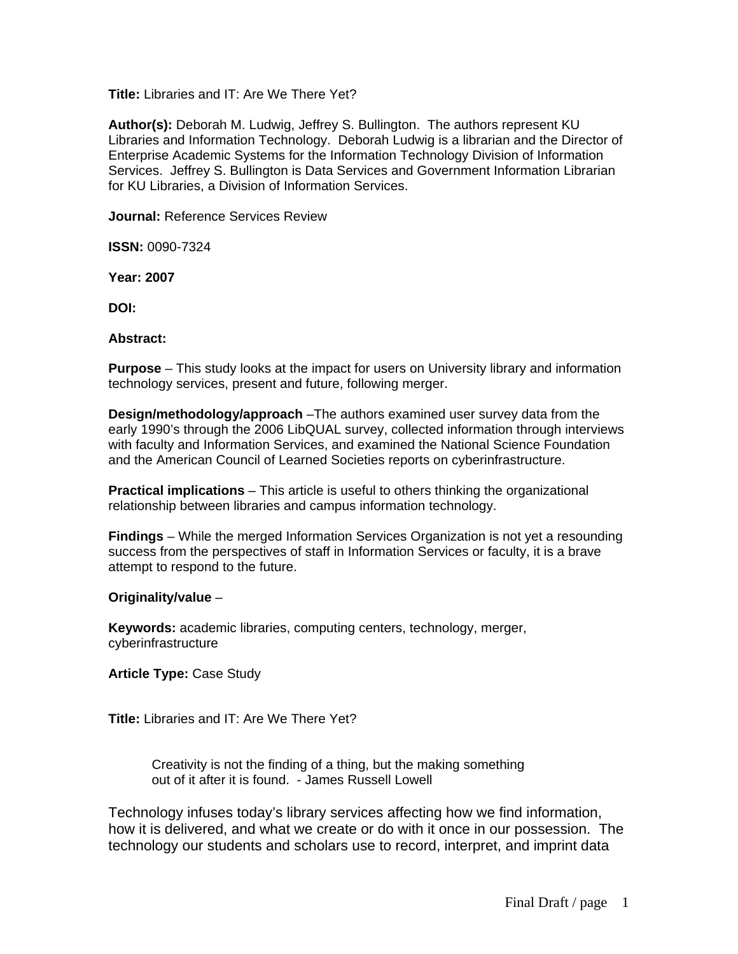**Title:** Libraries and IT: Are We There Yet?

**Author(s):** Deborah M. Ludwig, Jeffrey S. Bullington. The authors represent KU Libraries and Information Technology. Deborah Ludwig is a librarian and the Director of Enterprise Academic Systems for the Information Technology Division of Information Services. Jeffrey S. Bullington is Data Services and Government Information Librarian for KU Libraries, a Division of Information Services.

**Journal:** Reference Services Review

**ISSN:** 0090-7324

**Year: 2007** 

**DOI:** 

#### **Abstract:**

**Purpose** – This study looks at the impact for users on University library and information technology services, present and future, following merger.

**Design/methodology/approach** –The authors examined user survey data from the early 1990's through the 2006 LibQUAL survey, collected information through interviews with faculty and Information Services, and examined the National Science Foundation and the American Council of Learned Societies reports on cyberinfrastructure.

**Practical implications** – This article is useful to others thinking the organizational relationship between libraries and campus information technology.

**Findings** – While the merged Information Services Organization is not yet a resounding success from the perspectives of staff in Information Services or faculty, it is a brave attempt to respond to the future.

### **Originality/value** –

**Keywords:** academic libraries, computing centers, technology, merger, cyberinfrastructure

**Article Type:** Case Study

**Title:** Libraries and IT: Are We There Yet?

Creativity is not the finding of a thing, but the making something out of it after it is found. - James Russell Lowell

Technology infuses today's library services affecting how we find information, how it is delivered, and what we create or do with it once in our possession. The technology our students and scholars use to record, interpret, and imprint data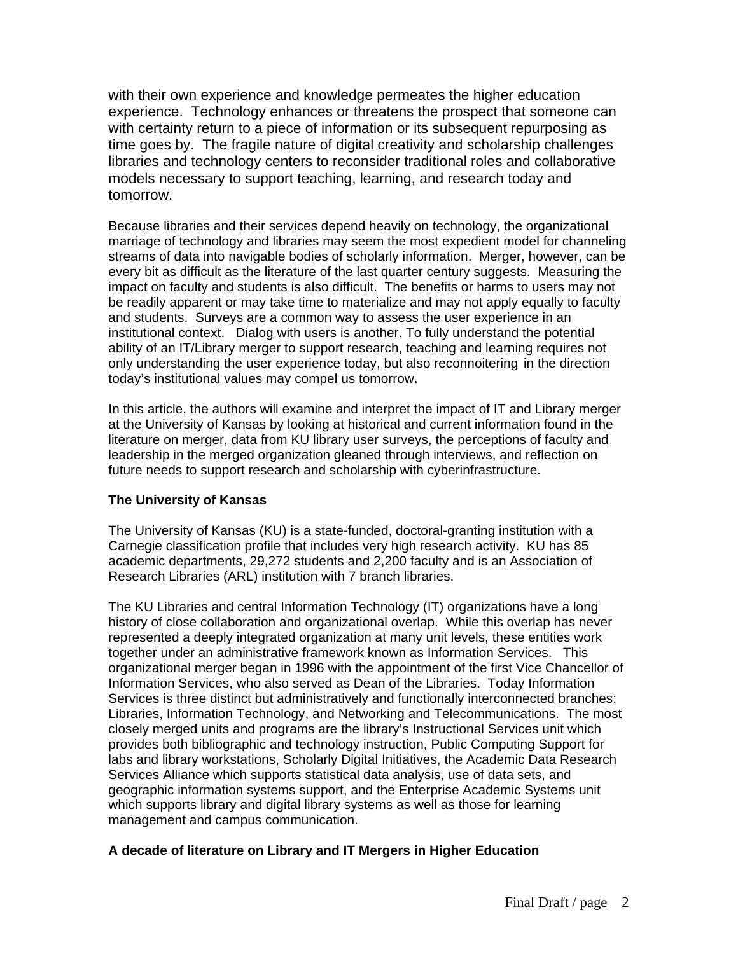with their own experience and knowledge permeates the higher education experience. Technology enhances or threatens the prospect that someone can with certainty return to a piece of information or its subsequent repurposing as time goes by. The fragile nature of digital creativity and scholarship challenges libraries and technology centers to reconsider traditional roles and collaborative models necessary to support teaching, learning, and research today and tomorrow.

Because libraries and their services depend heavily on technology, the organizational marriage of technology and libraries may seem the most expedient model for channeling streams of data into navigable bodies of scholarly information. Merger, however, can be every bit as difficult as the literature of the last quarter century suggests. Measuring the impact on faculty and students is also difficult. The benefits or harms to users may not be readily apparent or may take time to materialize and may not apply equally to faculty and students. Surveys are a common way to assess the user experience in an institutional context. Dialog with users is another. To fully understand the potential ability of an IT/Library merger to support research, teaching and learning requires not only understanding the user experience today, but also reconnoitering in the direction today's institutional values may compel us tomorrow**.** 

In this article, the authors will examine and interpret the impact of IT and Library merger at the University of Kansas by looking at historical and current information found in the literature on merger, data from KU library user surveys, the perceptions of faculty and leadership in the merged organization gleaned through interviews, and reflection on future needs to support research and scholarship with cyberinfrastructure.

### **The University of Kansas**

The University of Kansas (KU) is a state-funded, doctoral-granting institution with a Carnegie classification profile that includes very high research activity. KU has 85 academic departments, 29,272 students and 2,200 faculty and is an Association of Research Libraries (ARL) institution with 7 branch libraries.

The KU Libraries and central Information Technology (IT) organizations have a long history of close collaboration and organizational overlap. While this overlap has never represented a deeply integrated organization at many unit levels, these entities work together under an administrative framework known as Information Services. This organizational merger began in 1996 with the appointment of the first Vice Chancellor of Information Services, who also served as Dean of the Libraries. Today Information Services is three distinct but administratively and functionally interconnected branches: Libraries, Information Technology, and Networking and Telecommunications. The most closely merged units and programs are the library's Instructional Services unit which provides both bibliographic and technology instruction, Public Computing Support for labs and library workstations, Scholarly Digital Initiatives, the Academic Data Research Services Alliance which supports statistical data analysis, use of data sets, and geographic information systems support, and the Enterprise Academic Systems unit which supports library and digital library systems as well as those for learning management and campus communication.

# **A decade of literature on Library and IT Mergers in Higher Education**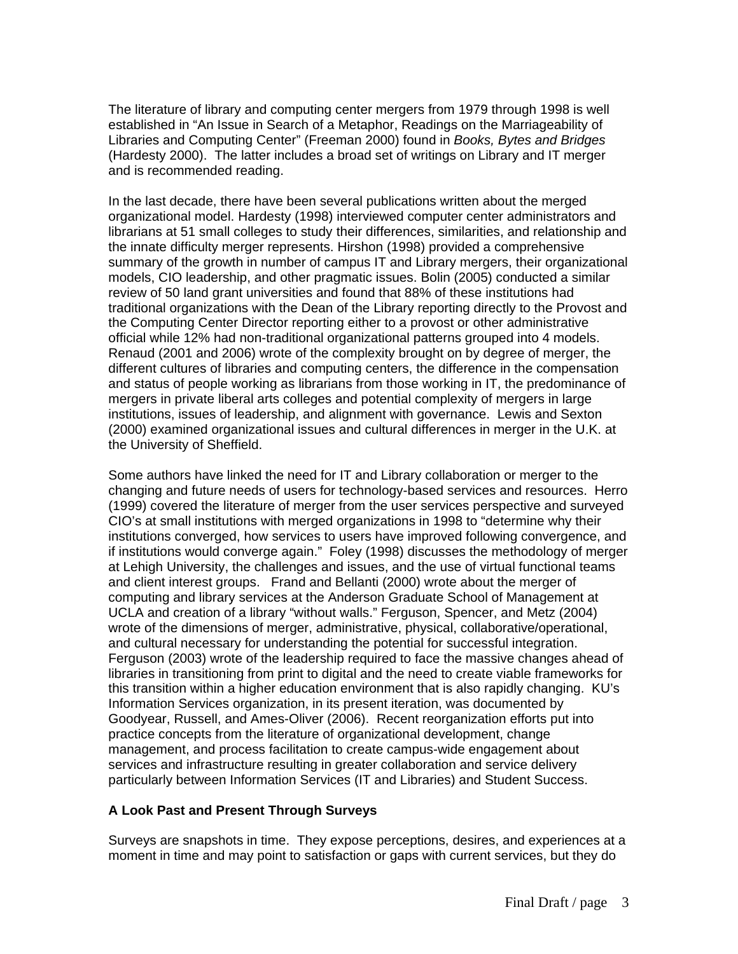The literature of library and computing center mergers from 1979 through 1998 is well established in "An Issue in Search of a Metaphor, Readings on the Marriageability of Libraries and Computing Center" (Freeman 2000) found in *Books, Bytes and Bridges* (Hardesty 2000). The latter includes a broad set of writings on Library and IT merger and is recommended reading.

In the last decade, there have been several publications written about the merged organizational model. Hardesty (1998) interviewed computer center administrators and librarians at 51 small colleges to study their differences, similarities, and relationship and the innate difficulty merger represents. Hirshon (1998) provided a comprehensive summary of the growth in number of campus IT and Library mergers, their organizational models, CIO leadership, and other pragmatic issues. Bolin (2005) conducted a similar review of 50 land grant universities and found that 88% of these institutions had traditional organizations with the Dean of the Library reporting directly to the Provost and the Computing Center Director reporting either to a provost or other administrative official while 12% had non-traditional organizational patterns grouped into 4 models. Renaud (2001 and 2006) wrote of the complexity brought on by degree of merger, the different cultures of libraries and computing centers, the difference in the compensation and status of people working as librarians from those working in IT, the predominance of mergers in private liberal arts colleges and potential complexity of mergers in large institutions, issues of leadership, and alignment with governance. Lewis and Sexton (2000) examined organizational issues and cultural differences in merger in the U.K. at the University of Sheffield.

Some authors have linked the need for IT and Library collaboration or merger to the changing and future needs of users for technology-based services and resources. Herro (1999) covered the literature of merger from the user services perspective and surveyed CIO's at small institutions with merged organizations in 1998 to "determine why their institutions converged, how services to users have improved following convergence, and if institutions would converge again." Foley (1998) discusses the methodology of merger at Lehigh University, the challenges and issues, and the use of virtual functional teams and client interest groups. Frand and Bellanti (2000) wrote about the merger of computing and library services at the Anderson Graduate School of Management at UCLA and creation of a library "without walls." Ferguson, Spencer, and Metz (2004) wrote of the dimensions of merger, administrative, physical, collaborative/operational, and cultural necessary for understanding the potential for successful integration. Ferguson (2003) wrote of the leadership required to face the massive changes ahead of libraries in transitioning from print to digital and the need to create viable frameworks for this transition within a higher education environment that is also rapidly changing. KU's Information Services organization, in its present iteration, was documented by Goodyear, Russell, and Ames-Oliver (2006). Recent reorganization efforts put into practice concepts from the literature of organizational development, change management, and process facilitation to create campus-wide engagement about services and infrastructure resulting in greater collaboration and service delivery particularly between Information Services (IT and Libraries) and Student Success.

### **A Look Past and Present Through Surveys**

Surveys are snapshots in time. They expose perceptions, desires, and experiences at a moment in time and may point to satisfaction or gaps with current services, but they do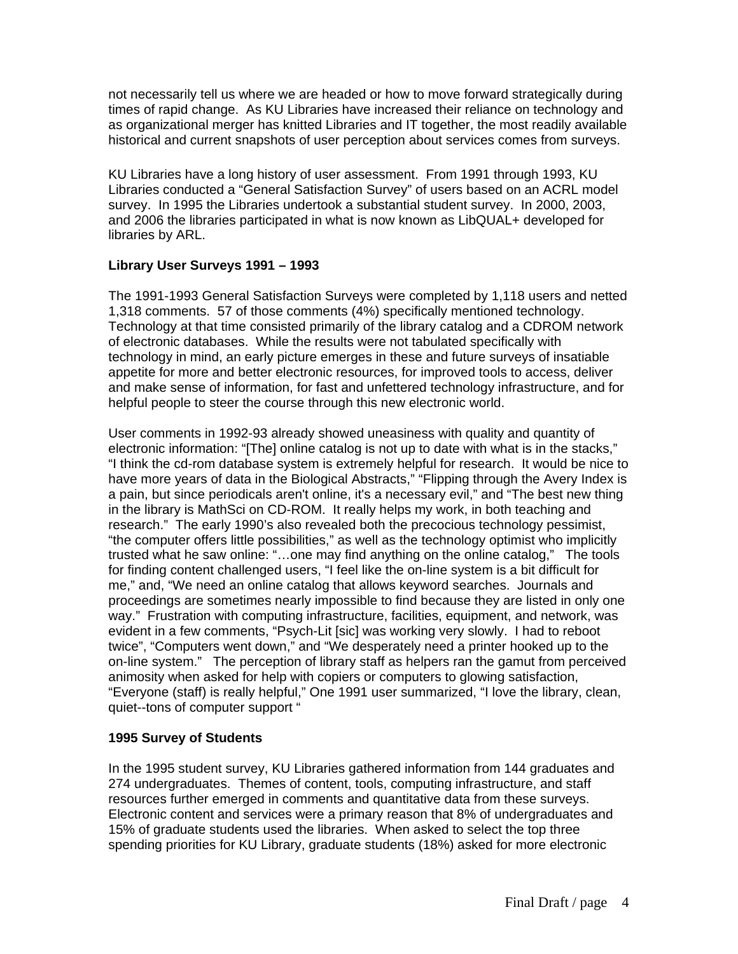not necessarily tell us where we are headed or how to move forward strategically during times of rapid change. As KU Libraries have increased their reliance on technology and as organizational merger has knitted Libraries and IT together, the most readily available historical and current snapshots of user perception about services comes from surveys.

KU Libraries have a long history of user assessment. From 1991 through 1993, KU Libraries conducted a "General Satisfaction Survey" of users based on an ACRL model survey. In 1995 the Libraries undertook a substantial student survey. In 2000, 2003, and 2006 the libraries participated in what is now known as LibQUAL+ developed for libraries by ARL.

## **Library User Surveys 1991 – 1993**

The 1991-1993 General Satisfaction Surveys were completed by 1,118 users and netted 1,318 comments. 57 of those comments (4%) specifically mentioned technology. Technology at that time consisted primarily of the library catalog and a CDROM network of electronic databases. While the results were not tabulated specifically with technology in mind, an early picture emerges in these and future surveys of insatiable appetite for more and better electronic resources, for improved tools to access, deliver and make sense of information, for fast and unfettered technology infrastructure, and for helpful people to steer the course through this new electronic world.

User comments in 1992-93 already showed uneasiness with quality and quantity of electronic information: "[The] online catalog is not up to date with what is in the stacks," "I think the cd-rom database system is extremely helpful for research. It would be nice to have more years of data in the Biological Abstracts," "Flipping through the Avery Index is a pain, but since periodicals aren't online, it's a necessary evil," and "The best new thing in the library is MathSci on CD-ROM. It really helps my work, in both teaching and research." The early 1990's also revealed both the precocious technology pessimist, "the computer offers little possibilities," as well as the technology optimist who implicitly trusted what he saw online: "…one may find anything on the online catalog," The tools for finding content challenged users, "I feel like the on-line system is a bit difficult for me," and, "We need an online catalog that allows keyword searches. Journals and proceedings are sometimes nearly impossible to find because they are listed in only one way." Frustration with computing infrastructure, facilities, equipment, and network, was evident in a few comments, "Psych-Lit [sic] was working very slowly. I had to reboot twice", "Computers went down," and "We desperately need a printer hooked up to the on-line system." The perception of library staff as helpers ran the gamut from perceived animosity when asked for help with copiers or computers to glowing satisfaction, "Everyone (staff) is really helpful," One 1991 user summarized, "I love the library, clean, quiet--tons of computer support "

### **1995 Survey of Students**

In the 1995 student survey, KU Libraries gathered information from 144 graduates and 274 undergraduates. Themes of content, tools, computing infrastructure, and staff resources further emerged in comments and quantitative data from these surveys. Electronic content and services were a primary reason that 8% of undergraduates and 15% of graduate students used the libraries. When asked to select the top three spending priorities for KU Library, graduate students (18%) asked for more electronic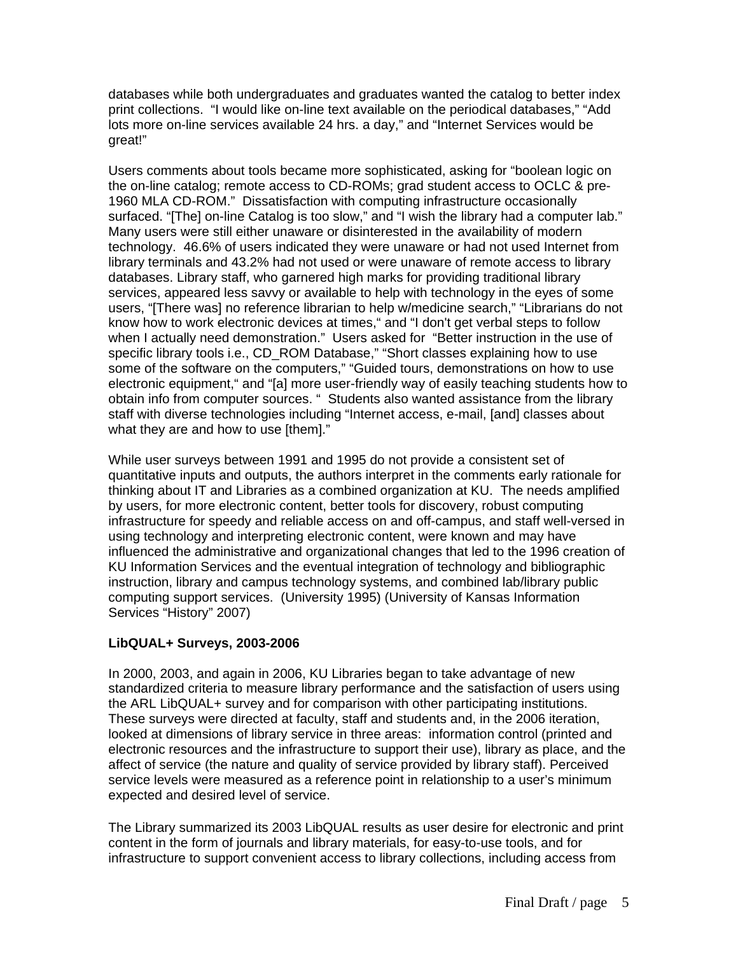databases while both undergraduates and graduates wanted the catalog to better index print collections. "I would like on-line text available on the periodical databases," "Add lots more on-line services available 24 hrs. a day," and "Internet Services would be great!"

Users comments about tools became more sophisticated, asking for "boolean logic on the on-line catalog; remote access to CD-ROMs; grad student access to OCLC & pre-1960 MLA CD-ROM." Dissatisfaction with computing infrastructure occasionally surfaced. "[The] on-line Catalog is too slow," and "I wish the library had a computer lab." Many users were still either unaware or disinterested in the availability of modern technology. 46.6% of users indicated they were unaware or had not used Internet from library terminals and 43.2% had not used or were unaware of remote access to library databases. Library staff, who garnered high marks for providing traditional library services, appeared less savvy or available to help with technology in the eyes of some users, "[There was] no reference librarian to help w/medicine search," "Librarians do not know how to work electronic devices at times," and "I don't get verbal steps to follow when I actually need demonstration." Users asked for "Better instruction in the use of specific library tools i.e., CD\_ROM Database," "Short classes explaining how to use some of the software on the computers," "Guided tours, demonstrations on how to use electronic equipment," and "[a] more user-friendly way of easily teaching students how to obtain info from computer sources. " Students also wanted assistance from the library staff with diverse technologies including "Internet access, e-mail, [and] classes about what they are and how to use [them]."

While user surveys between 1991 and 1995 do not provide a consistent set of quantitative inputs and outputs, the authors interpret in the comments early rationale for thinking about IT and Libraries as a combined organization at KU. The needs amplified by users, for more electronic content, better tools for discovery, robust computing infrastructure for speedy and reliable access on and off-campus, and staff well-versed in using technology and interpreting electronic content, were known and may have influenced the administrative and organizational changes that led to the 1996 creation of KU Information Services and the eventual integration of technology and bibliographic instruction, library and campus technology systems, and combined lab/library public computing support services. (University 1995) (University of Kansas Information Services "History" 2007)

# **LibQUAL+ Surveys, 2003-2006**

In 2000, 2003, and again in 2006, KU Libraries began to take advantage of new standardized criteria to measure library performance and the satisfaction of users using the ARL LibQUAL+ survey and for comparison with other participating institutions. These surveys were directed at faculty, staff and students and, in the 2006 iteration, looked at dimensions of library service in three areas: information control (printed and electronic resources and the infrastructure to support their use), library as place, and the affect of service (the nature and quality of service provided by library staff). Perceived service levels were measured as a reference point in relationship to a user's minimum expected and desired level of service.

The Library summarized its 2003 LibQUAL results as user desire for electronic and print content in the form of journals and library materials, for easy-to-use tools, and for infrastructure to support convenient access to library collections, including access from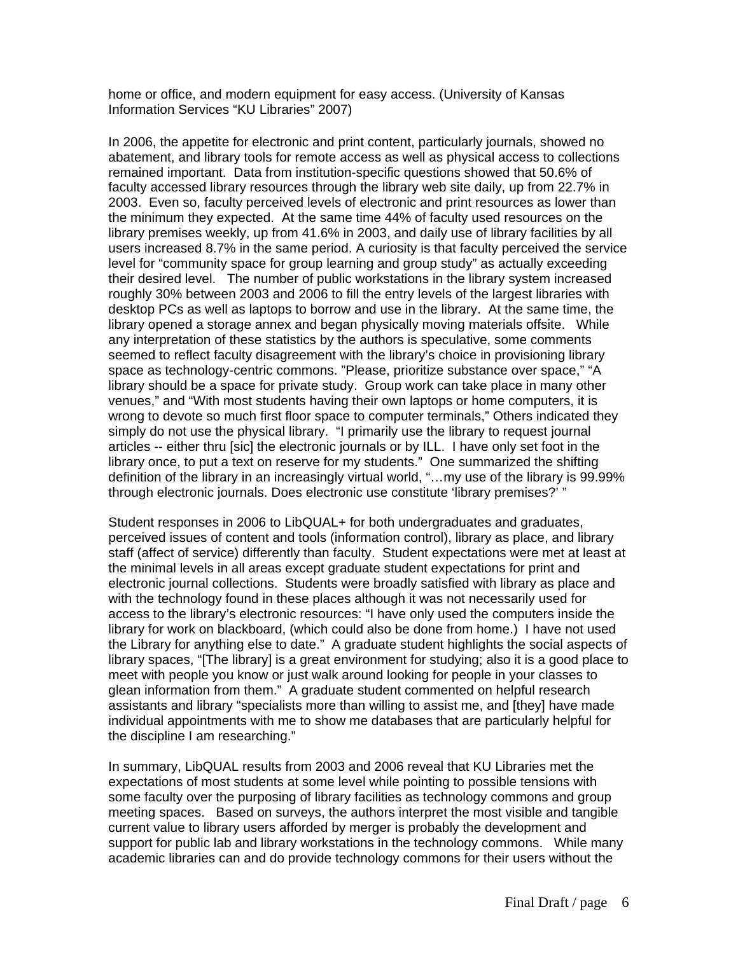home or office, and modern equipment for easy access. (University of Kansas Information Services "KU Libraries" 2007)

In 2006, the appetite for electronic and print content, particularly journals, showed no abatement, and library tools for remote access as well as physical access to collections remained important. Data from institution-specific questions showed that 50.6% of faculty accessed library resources through the library web site daily, up from 22.7% in 2003. Even so, faculty perceived levels of electronic and print resources as lower than the minimum they expected. At the same time 44% of faculty used resources on the library premises weekly, up from 41.6% in 2003, and daily use of library facilities by all users increased 8.7% in the same period. A curiosity is that faculty perceived the service level for "community space for group learning and group study" as actually exceeding their desired level. The number of public workstations in the library system increased roughly 30% between 2003 and 2006 to fill the entry levels of the largest libraries with desktop PCs as well as laptops to borrow and use in the library. At the same time, the library opened a storage annex and began physically moving materials offsite. While any interpretation of these statistics by the authors is speculative, some comments seemed to reflect faculty disagreement with the library's choice in provisioning library space as technology-centric commons. "Please, prioritize substance over space," "A library should be a space for private study. Group work can take place in many other venues," and "With most students having their own laptops or home computers, it is wrong to devote so much first floor space to computer terminals," Others indicated they simply do not use the physical library. "I primarily use the library to request journal articles -- either thru [sic] the electronic journals or by ILL. I have only set foot in the library once, to put a text on reserve for my students." One summarized the shifting definition of the library in an increasingly virtual world, "…my use of the library is 99.99% through electronic journals. Does electronic use constitute 'library premises?' "

Student responses in 2006 to LibQUAL+ for both undergraduates and graduates, perceived issues of content and tools (information control), library as place, and library staff (affect of service) differently than faculty. Student expectations were met at least at the minimal levels in all areas except graduate student expectations for print and electronic journal collections. Students were broadly satisfied with library as place and with the technology found in these places although it was not necessarily used for access to the library's electronic resources: "I have only used the computers inside the library for work on blackboard, (which could also be done from home.) I have not used the Library for anything else to date." A graduate student highlights the social aspects of library spaces, "[The library] is a great environment for studying; also it is a good place to meet with people you know or just walk around looking for people in your classes to glean information from them." A graduate student commented on helpful research assistants and library "specialists more than willing to assist me, and [they] have made individual appointments with me to show me databases that are particularly helpful for the discipline I am researching."

In summary, LibQUAL results from 2003 and 2006 reveal that KU Libraries met the expectations of most students at some level while pointing to possible tensions with some faculty over the purposing of library facilities as technology commons and group meeting spaces. Based on surveys, the authors interpret the most visible and tangible current value to library users afforded by merger is probably the development and support for public lab and library workstations in the technology commons. While many academic libraries can and do provide technology commons for their users without the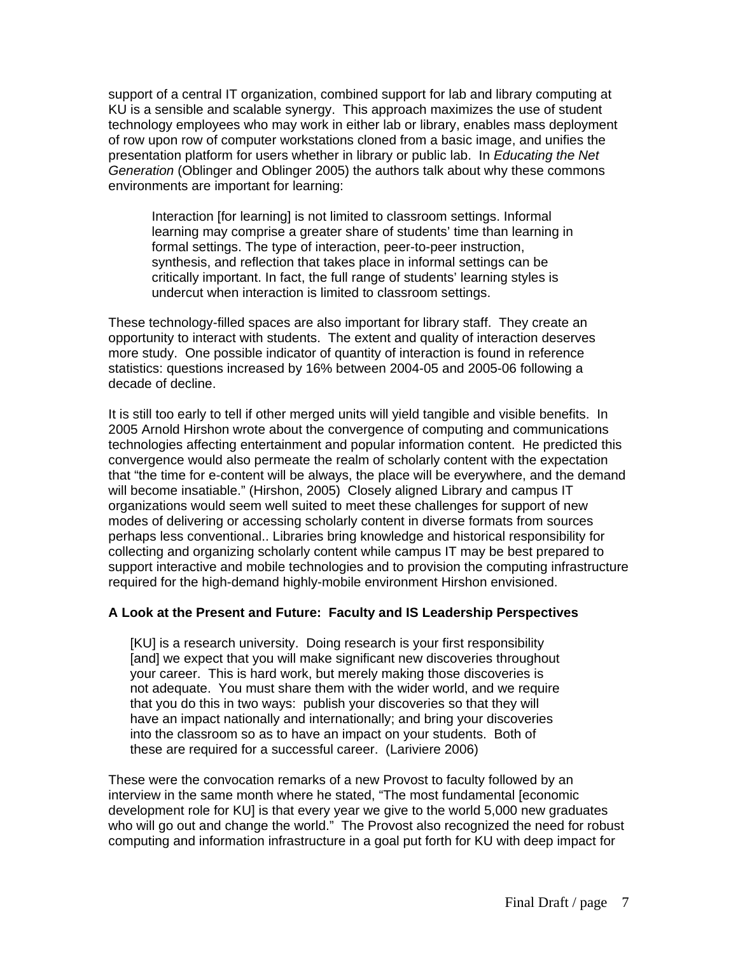support of a central IT organization, combined support for lab and library computing at KU is a sensible and scalable synergy. This approach maximizes the use of student technology employees who may work in either lab or library, enables mass deployment of row upon row of computer workstations cloned from a basic image, and unifies the presentation platform for users whether in library or public lab. In *Educating the Net Generation* (Oblinger and Oblinger 2005) the authors talk about why these commons environments are important for learning:

Interaction [for learning] is not limited to classroom settings. Informal learning may comprise a greater share of students' time than learning in formal settings. The type of interaction, peer-to-peer instruction, synthesis, and reflection that takes place in informal settings can be critically important. In fact, the full range of students' learning styles is undercut when interaction is limited to classroom settings.

These technology-filled spaces are also important for library staff. They create an opportunity to interact with students. The extent and quality of interaction deserves more study. One possible indicator of quantity of interaction is found in reference statistics: questions increased by 16% between 2004-05 and 2005-06 following a decade of decline.

It is still too early to tell if other merged units will yield tangible and visible benefits. In 2005 Arnold Hirshon wrote about the convergence of computing and communications technologies affecting entertainment and popular information content. He predicted this convergence would also permeate the realm of scholarly content with the expectation that "the time for e-content will be always, the place will be everywhere, and the demand will become insatiable." (Hirshon, 2005) Closely aligned Library and campus IT organizations would seem well suited to meet these challenges for support of new modes of delivering or accessing scholarly content in diverse formats from sources perhaps less conventional.. Libraries bring knowledge and historical responsibility for collecting and organizing scholarly content while campus IT may be best prepared to support interactive and mobile technologies and to provision the computing infrastructure required for the high-demand highly-mobile environment Hirshon envisioned.

### **A Look at the Present and Future: Faculty and IS Leadership Perspectives**

[KU] is a research university. Doing research is your first responsibility [and] we expect that you will make significant new discoveries throughout your career. This is hard work, but merely making those discoveries is not adequate. You must share them with the wider world, and we require that you do this in two ways: publish your discoveries so that they will have an impact nationally and internationally; and bring your discoveries into the classroom so as to have an impact on your students. Both of these are required for a successful career. (Lariviere 2006)

These were the convocation remarks of a new Provost to faculty followed by an interview in the same month where he stated, "The most fundamental [economic development role for KU] is that every year we give to the world 5,000 new graduates who will go out and change the world." The Provost also recognized the need for robust computing and information infrastructure in a goal put forth for KU with deep impact for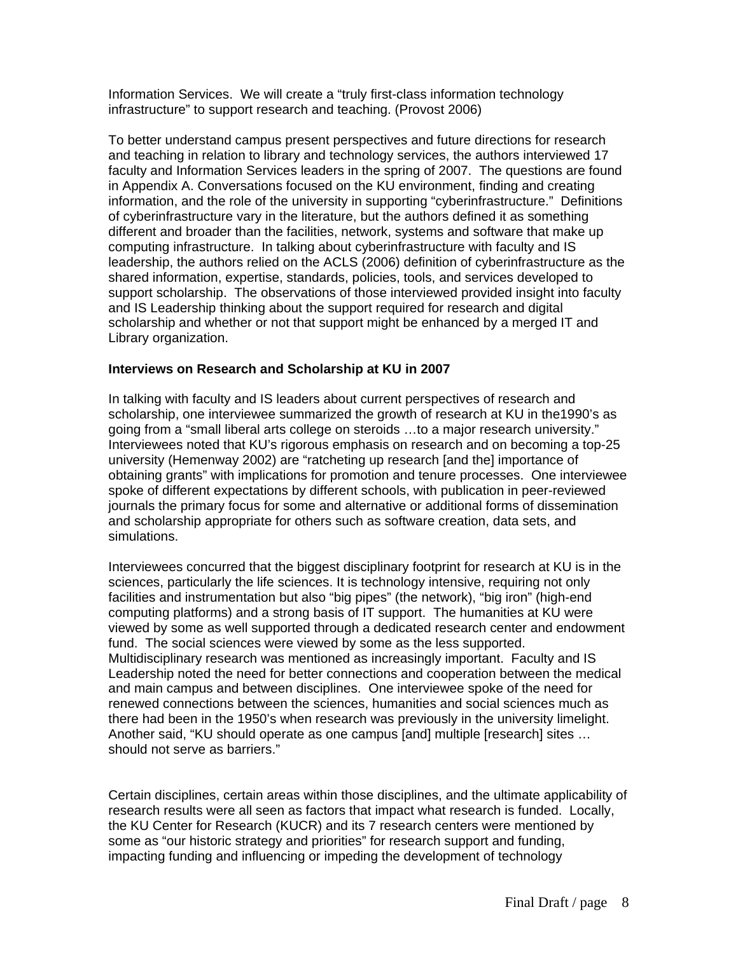Information Services. We will create a "truly first-class information technology infrastructure" to support research and teaching. (Provost 2006)

To better understand campus present perspectives and future directions for research and teaching in relation to library and technology services, the authors interviewed 17 faculty and Information Services leaders in the spring of 2007. The questions are found in Appendix A. Conversations focused on the KU environment, finding and creating information, and the role of the university in supporting "cyberinfrastructure." Definitions of cyberinfrastructure vary in the literature, but the authors defined it as something different and broader than the facilities, network, systems and software that make up computing infrastructure. In talking about cyberinfrastructure with faculty and IS leadership, the authors relied on the ACLS (2006) definition of cyberinfrastructure as the shared information, expertise, standards, policies, tools, and services developed to support scholarship. The observations of those interviewed provided insight into faculty and IS Leadership thinking about the support required for research and digital scholarship and whether or not that support might be enhanced by a merged IT and Library organization.

### **Interviews on Research and Scholarship at KU in 2007**

In talking with faculty and IS leaders about current perspectives of research and scholarship, one interviewee summarized the growth of research at KU in the1990's as going from a "small liberal arts college on steroids …to a major research university." Interviewees noted that KU's rigorous emphasis on research and on becoming a top-25 university (Hemenway 2002) are "ratcheting up research [and the] importance of obtaining grants" with implications for promotion and tenure processes. One interviewee spoke of different expectations by different schools, with publication in peer-reviewed journals the primary focus for some and alternative or additional forms of dissemination and scholarship appropriate for others such as software creation, data sets, and simulations.

Interviewees concurred that the biggest disciplinary footprint for research at KU is in the sciences, particularly the life sciences. It is technology intensive, requiring not only facilities and instrumentation but also "big pipes" (the network), "big iron" (high-end computing platforms) and a strong basis of IT support. The humanities at KU were viewed by some as well supported through a dedicated research center and endowment fund. The social sciences were viewed by some as the less supported. Multidisciplinary research was mentioned as increasingly important. Faculty and IS Leadership noted the need for better connections and cooperation between the medical and main campus and between disciplines. One interviewee spoke of the need for renewed connections between the sciences, humanities and social sciences much as there had been in the 1950's when research was previously in the university limelight. Another said, "KU should operate as one campus [and] multiple [research] sites … should not serve as barriers."

Certain disciplines, certain areas within those disciplines, and the ultimate applicability of research results were all seen as factors that impact what research is funded. Locally, the KU Center for Research (KUCR) and its 7 research centers were mentioned by some as "our historic strategy and priorities" for research support and funding, impacting funding and influencing or impeding the development of technology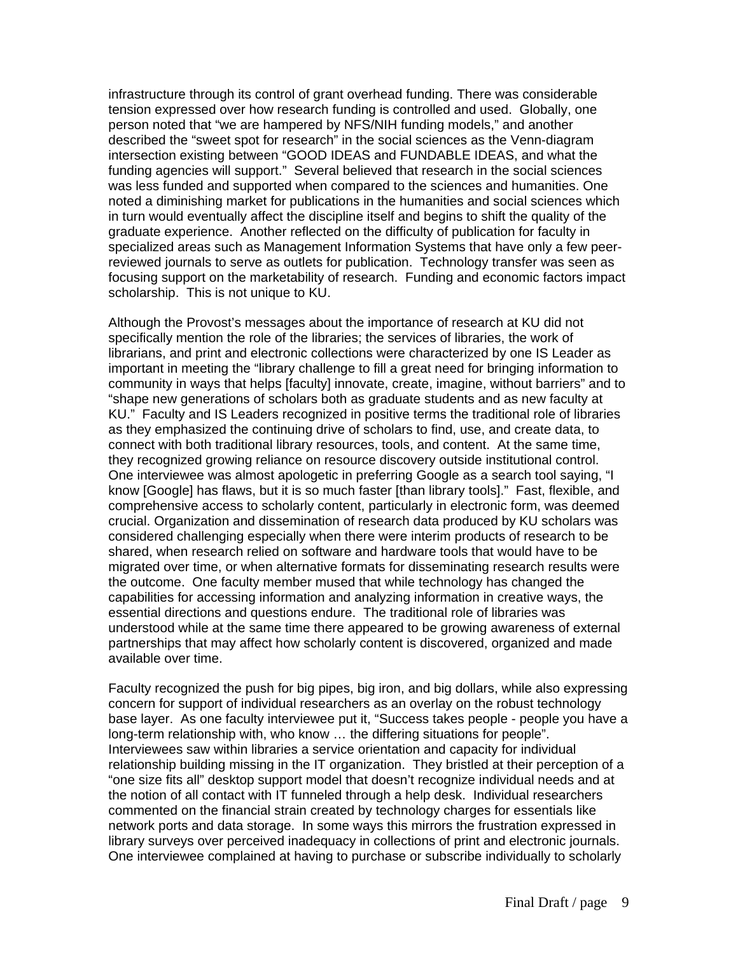infrastructure through its control of grant overhead funding. There was considerable tension expressed over how research funding is controlled and used. Globally, one person noted that "we are hampered by NFS/NIH funding models," and another described the "sweet spot for research" in the social sciences as the Venn-diagram intersection existing between "GOOD IDEAS and FUNDABLE IDEAS, and what the funding agencies will support." Several believed that research in the social sciences was less funded and supported when compared to the sciences and humanities. One noted a diminishing market for publications in the humanities and social sciences which in turn would eventually affect the discipline itself and begins to shift the quality of the graduate experience. Another reflected on the difficulty of publication for faculty in specialized areas such as Management Information Systems that have only a few peerreviewed journals to serve as outlets for publication. Technology transfer was seen as focusing support on the marketability of research. Funding and economic factors impact scholarship. This is not unique to KU.

Although the Provost's messages about the importance of research at KU did not specifically mention the role of the libraries; the services of libraries, the work of librarians, and print and electronic collections were characterized by one IS Leader as important in meeting the "library challenge to fill a great need for bringing information to community in ways that helps [faculty] innovate, create, imagine, without barriers" and to "shape new generations of scholars both as graduate students and as new faculty at KU." Faculty and IS Leaders recognized in positive terms the traditional role of libraries as they emphasized the continuing drive of scholars to find, use, and create data, to connect with both traditional library resources, tools, and content. At the same time, they recognized growing reliance on resource discovery outside institutional control. One interviewee was almost apologetic in preferring Google as a search tool saying, "I know [Google] has flaws, but it is so much faster [than library tools]." Fast, flexible, and comprehensive access to scholarly content, particularly in electronic form, was deemed crucial. Organization and dissemination of research data produced by KU scholars was considered challenging especially when there were interim products of research to be shared, when research relied on software and hardware tools that would have to be migrated over time, or when alternative formats for disseminating research results were the outcome. One faculty member mused that while technology has changed the capabilities for accessing information and analyzing information in creative ways, the essential directions and questions endure. The traditional role of libraries was understood while at the same time there appeared to be growing awareness of external partnerships that may affect how scholarly content is discovered, organized and made available over time.

Faculty recognized the push for big pipes, big iron, and big dollars, while also expressing concern for support of individual researchers as an overlay on the robust technology base layer. As one faculty interviewee put it, "Success takes people - people you have a long-term relationship with, who know … the differing situations for people". Interviewees saw within libraries a service orientation and capacity for individual relationship building missing in the IT organization. They bristled at their perception of a "one size fits all" desktop support model that doesn't recognize individual needs and at the notion of all contact with IT funneled through a help desk. Individual researchers commented on the financial strain created by technology charges for essentials like network ports and data storage. In some ways this mirrors the frustration expressed in library surveys over perceived inadequacy in collections of print and electronic journals. One interviewee complained at having to purchase or subscribe individually to scholarly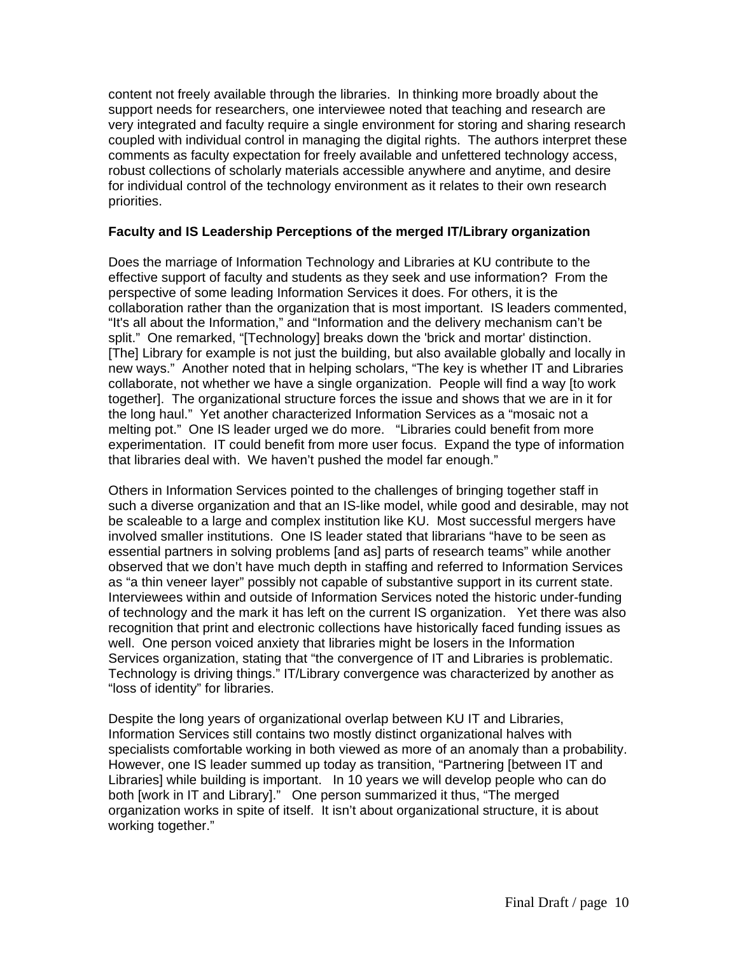content not freely available through the libraries. In thinking more broadly about the support needs for researchers, one interviewee noted that teaching and research are very integrated and faculty require a single environment for storing and sharing research coupled with individual control in managing the digital rights. The authors interpret these comments as faculty expectation for freely available and unfettered technology access, robust collections of scholarly materials accessible anywhere and anytime, and desire for individual control of the technology environment as it relates to their own research priorities.

### **Faculty and IS Leadership Perceptions of the merged IT/Library organization**

Does the marriage of Information Technology and Libraries at KU contribute to the effective support of faculty and students as they seek and use information? From the perspective of some leading Information Services it does. For others, it is the collaboration rather than the organization that is most important. IS leaders commented, "It's all about the Information," and "Information and the delivery mechanism can't be split." One remarked, "[Technology] breaks down the 'brick and mortar' distinction. [The] Library for example is not just the building, but also available globally and locally in new ways." Another noted that in helping scholars, "The key is whether IT and Libraries collaborate, not whether we have a single organization. People will find a way [to work together]. The organizational structure forces the issue and shows that we are in it for the long haul." Yet another characterized Information Services as a "mosaic not a melting pot." One IS leader urged we do more. "Libraries could benefit from more experimentation. IT could benefit from more user focus. Expand the type of information that libraries deal with. We haven't pushed the model far enough."

Others in Information Services pointed to the challenges of bringing together staff in such a diverse organization and that an IS-like model, while good and desirable, may not be scaleable to a large and complex institution like KU. Most successful mergers have involved smaller institutions. One IS leader stated that librarians "have to be seen as essential partners in solving problems [and as] parts of research teams" while another observed that we don't have much depth in staffing and referred to Information Services as "a thin veneer layer" possibly not capable of substantive support in its current state. Interviewees within and outside of Information Services noted the historic under-funding of technology and the mark it has left on the current IS organization. Yet there was also recognition that print and electronic collections have historically faced funding issues as well. One person voiced anxiety that libraries might be losers in the Information Services organization, stating that "the convergence of IT and Libraries is problematic. Technology is driving things." IT/Library convergence was characterized by another as "loss of identity" for libraries.

Despite the long years of organizational overlap between KU IT and Libraries, Information Services still contains two mostly distinct organizational halves with specialists comfortable working in both viewed as more of an anomaly than a probability. However, one IS leader summed up today as transition, "Partnering [between IT and Libraries] while building is important. In 10 years we will develop people who can do both [work in IT and Library]." One person summarized it thus, "The merged organization works in spite of itself. It isn't about organizational structure, it is about working together."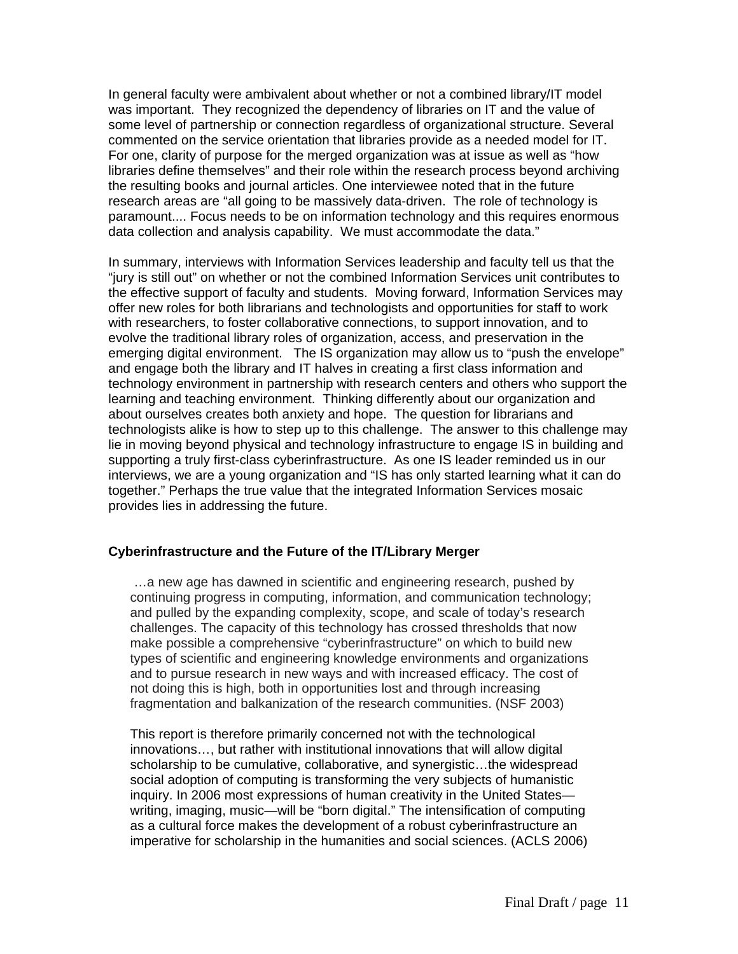In general faculty were ambivalent about whether or not a combined library/IT model was important. They recognized the dependency of libraries on IT and the value of some level of partnership or connection regardless of organizational structure. Several commented on the service orientation that libraries provide as a needed model for IT. For one, clarity of purpose for the merged organization was at issue as well as "how libraries define themselves" and their role within the research process beyond archiving the resulting books and journal articles. One interviewee noted that in the future research areas are "all going to be massively data-driven. The role of technology is paramount.... Focus needs to be on information technology and this requires enormous data collection and analysis capability. We must accommodate the data."

In summary, interviews with Information Services leadership and faculty tell us that the "jury is still out" on whether or not the combined Information Services unit contributes to the effective support of faculty and students. Moving forward, Information Services may offer new roles for both librarians and technologists and opportunities for staff to work with researchers, to foster collaborative connections, to support innovation, and to evolve the traditional library roles of organization, access, and preservation in the emerging digital environment. The IS organization may allow us to "push the envelope" and engage both the library and IT halves in creating a first class information and technology environment in partnership with research centers and others who support the learning and teaching environment. Thinking differently about our organization and about ourselves creates both anxiety and hope. The question for librarians and technologists alike is how to step up to this challenge. The answer to this challenge may lie in moving beyond physical and technology infrastructure to engage IS in building and supporting a truly first-class cyberinfrastructure. As one IS leader reminded us in our interviews, we are a young organization and "IS has only started learning what it can do together." Perhaps the true value that the integrated Information Services mosaic provides lies in addressing the future.

### **Cyberinfrastructure and the Future of the IT/Library Merger**

…a new age has dawned in scientific and engineering research, pushed by continuing progress in computing, information, and communication technology; and pulled by the expanding complexity, scope, and scale of today's research challenges. The capacity of this technology has crossed thresholds that now make possible a comprehensive "cyberinfrastructure" on which to build new types of scientific and engineering knowledge environments and organizations and to pursue research in new ways and with increased efficacy. The cost of not doing this is high, both in opportunities lost and through increasing fragmentation and balkanization of the research communities. (NSF 2003)

This report is therefore primarily concerned not with the technological innovations…, but rather with institutional innovations that will allow digital scholarship to be cumulative, collaborative, and synergistic…the widespread social adoption of computing is transforming the very subjects of humanistic inquiry. In 2006 most expressions of human creativity in the United States writing, imaging, music—will be "born digital." The intensification of computing as a cultural force makes the development of a robust cyberinfrastructure an imperative for scholarship in the humanities and social sciences. (ACLS 2006)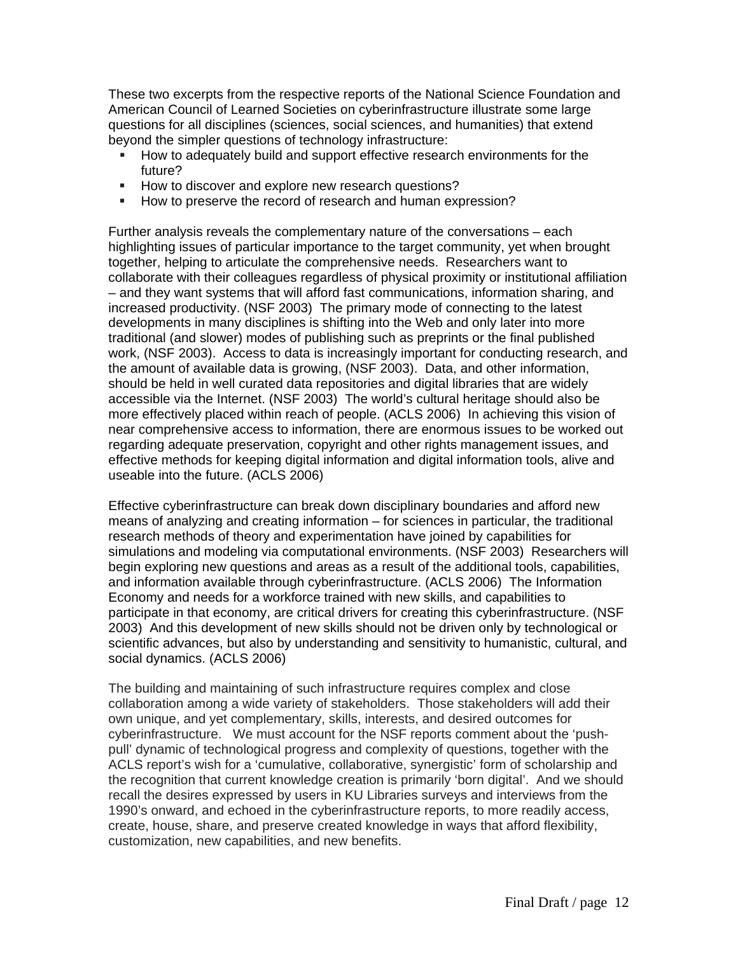These two excerpts from the respective reports of the National Science Foundation and American Council of Learned Societies on cyberinfrastructure illustrate some large questions for all disciplines (sciences, social sciences, and humanities) that extend beyond the simpler questions of technology infrastructure:

- How to adequately build and support effective research environments for the future?
- How to discover and explore new research questions?
- How to preserve the record of research and human expression?

Further analysis reveals the complementary nature of the conversations – each highlighting issues of particular importance to the target community, yet when brought together, helping to articulate the comprehensive needs. Researchers want to collaborate with their colleagues regardless of physical proximity or institutional affiliation – and they want systems that will afford fast communications, information sharing, and increased productivity. (NSF 2003) The primary mode of connecting to the latest developments in many disciplines is shifting into the Web and only later into more traditional (and slower) modes of publishing such as preprints or the final published work, (NSF 2003). Access to data is increasingly important for conducting research, and the amount of available data is growing, (NSF 2003). Data, and other information, should be held in well curated data repositories and digital libraries that are widely accessible via the Internet. (NSF 2003) The world's cultural heritage should also be more effectively placed within reach of people. (ACLS 2006) In achieving this vision of near comprehensive access to information, there are enormous issues to be worked out regarding adequate preservation, copyright and other rights management issues, and effective methods for keeping digital information and digital information tools, alive and useable into the future. (ACLS 2006)

Effective cyberinfrastructure can break down disciplinary boundaries and afford new means of analyzing and creating information – for sciences in particular, the traditional research methods of theory and experimentation have joined by capabilities for simulations and modeling via computational environments. (NSF 2003) Researchers will begin exploring new questions and areas as a result of the additional tools, capabilities, and information available through cyberinfrastructure. (ACLS 2006) The Information Economy and needs for a workforce trained with new skills, and capabilities to participate in that economy, are critical drivers for creating this cyberinfrastructure. (NSF 2003) And this development of new skills should not be driven only by technological or scientific advances, but also by understanding and sensitivity to humanistic, cultural, and social dynamics. (ACLS 2006)

The building and maintaining of such infrastructure requires complex and close collaboration among a wide variety of stakeholders. Those stakeholders will add their own unique, and yet complementary, skills, interests, and desired outcomes for cyberinfrastructure. We must account for the NSF reports comment about the 'pushpull' dynamic of technological progress and complexity of questions, together with the ACLS report's wish for a 'cumulative, collaborative, synergistic' form of scholarship and the recognition that current knowledge creation is primarily 'born digital'. And we should recall the desires expressed by users in KU Libraries surveys and interviews from the 1990's onward, and echoed in the cyberinfrastructure reports, to more readily access, create, house, share, and preserve created knowledge in ways that afford flexibility, customization, new capabilities, and new benefits.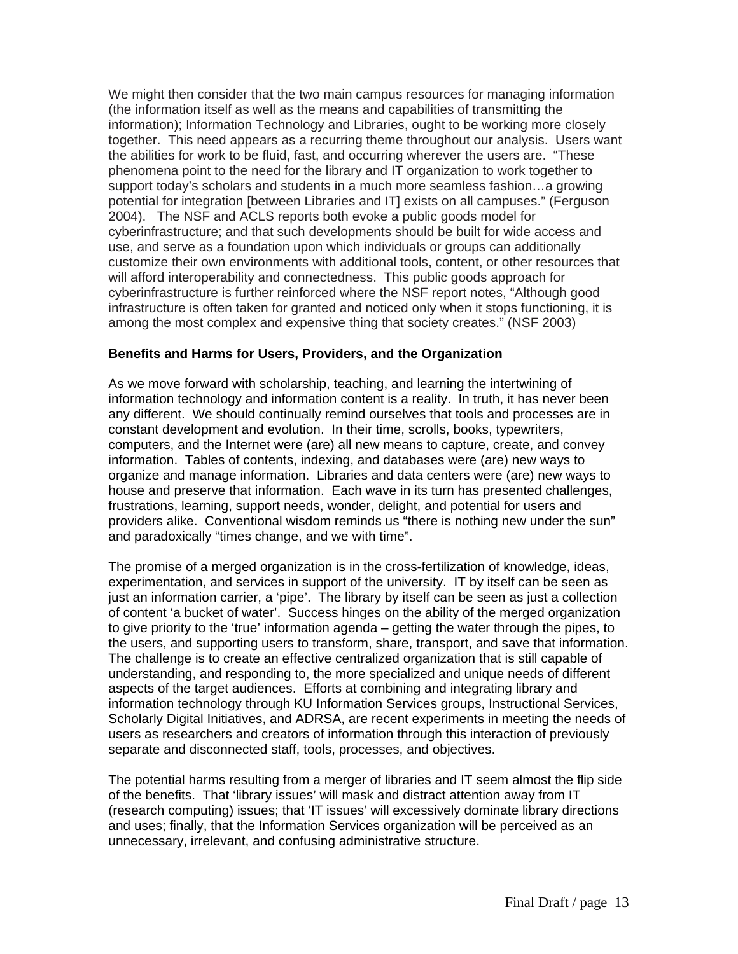We might then consider that the two main campus resources for managing information (the information itself as well as the means and capabilities of transmitting the information); Information Technology and Libraries, ought to be working more closely together. This need appears as a recurring theme throughout our analysis. Users want the abilities for work to be fluid, fast, and occurring wherever the users are. "These phenomena point to the need for the library and IT organization to work together to support today's scholars and students in a much more seamless fashion…a growing potential for integration [between Libraries and IT] exists on all campuses." (Ferguson 2004). The NSF and ACLS reports both evoke a public goods model for cyberinfrastructure; and that such developments should be built for wide access and use, and serve as a foundation upon which individuals or groups can additionally customize their own environments with additional tools, content, or other resources that will afford interoperability and connectedness. This public goods approach for cyberinfrastructure is further reinforced where the NSF report notes, "Although good infrastructure is often taken for granted and noticed only when it stops functioning, it is among the most complex and expensive thing that society creates." (NSF 2003)

#### **Benefits and Harms for Users, Providers, and the Organization**

As we move forward with scholarship, teaching, and learning the intertwining of information technology and information content is a reality. In truth, it has never been any different. We should continually remind ourselves that tools and processes are in constant development and evolution. In their time, scrolls, books, typewriters, computers, and the Internet were (are) all new means to capture, create, and convey information. Tables of contents, indexing, and databases were (are) new ways to organize and manage information. Libraries and data centers were (are) new ways to house and preserve that information. Each wave in its turn has presented challenges, frustrations, learning, support needs, wonder, delight, and potential for users and providers alike. Conventional wisdom reminds us "there is nothing new under the sun" and paradoxically "times change, and we with time".

The promise of a merged organization is in the cross-fertilization of knowledge, ideas, experimentation, and services in support of the university. IT by itself can be seen as just an information carrier, a 'pipe'. The library by itself can be seen as just a collection of content 'a bucket of water'. Success hinges on the ability of the merged organization to give priority to the 'true' information agenda – getting the water through the pipes, to the users, and supporting users to transform, share, transport, and save that information. The challenge is to create an effective centralized organization that is still capable of understanding, and responding to, the more specialized and unique needs of different aspects of the target audiences. Efforts at combining and integrating library and information technology through KU Information Services groups, Instructional Services, Scholarly Digital Initiatives, and ADRSA, are recent experiments in meeting the needs of users as researchers and creators of information through this interaction of previously separate and disconnected staff, tools, processes, and objectives.

The potential harms resulting from a merger of libraries and IT seem almost the flip side of the benefits. That 'library issues' will mask and distract attention away from IT (research computing) issues; that 'IT issues' will excessively dominate library directions and uses; finally, that the Information Services organization will be perceived as an unnecessary, irrelevant, and confusing administrative structure.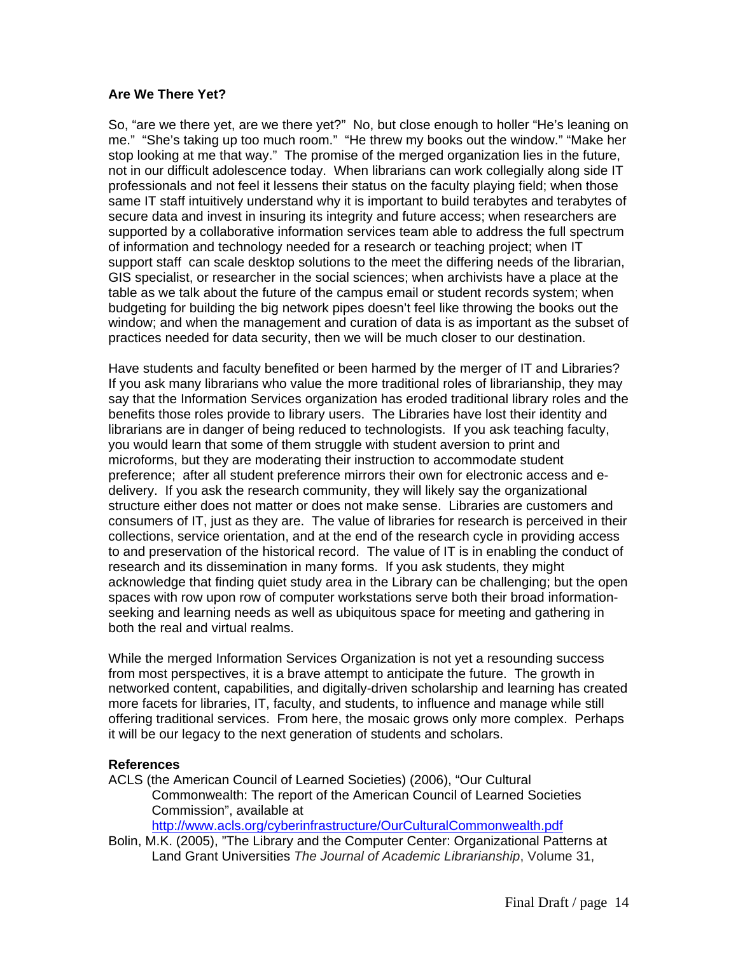#### **Are We There Yet?**

So, "are we there yet, are we there yet?" No, but close enough to holler "He's leaning on me." "She's taking up too much room." "He threw my books out the window." "Make her stop looking at me that way." The promise of the merged organization lies in the future, not in our difficult adolescence today. When librarians can work collegially along side IT professionals and not feel it lessens their status on the faculty playing field; when those same IT staff intuitively understand why it is important to build terabytes and terabytes of secure data and invest in insuring its integrity and future access; when researchers are supported by a collaborative information services team able to address the full spectrum of information and technology needed for a research or teaching project; when IT support staff can scale desktop solutions to the meet the differing needs of the librarian, GIS specialist, or researcher in the social sciences; when archivists have a place at the table as we talk about the future of the campus email or student records system; when budgeting for building the big network pipes doesn't feel like throwing the books out the window; and when the management and curation of data is as important as the subset of practices needed for data security, then we will be much closer to our destination.

Have students and faculty benefited or been harmed by the merger of IT and Libraries? If you ask many librarians who value the more traditional roles of librarianship, they may say that the Information Services organization has eroded traditional library roles and the benefits those roles provide to library users. The Libraries have lost their identity and librarians are in danger of being reduced to technologists. If you ask teaching faculty, you would learn that some of them struggle with student aversion to print and microforms, but they are moderating their instruction to accommodate student preference; after all student preference mirrors their own for electronic access and edelivery. If you ask the research community, they will likely say the organizational structure either does not matter or does not make sense. Libraries are customers and consumers of IT, just as they are. The value of libraries for research is perceived in their collections, service orientation, and at the end of the research cycle in providing access to and preservation of the historical record. The value of IT is in enabling the conduct of research and its dissemination in many forms. If you ask students, they might acknowledge that finding quiet study area in the Library can be challenging; but the open spaces with row upon row of computer workstations serve both their broad informationseeking and learning needs as well as ubiquitous space for meeting and gathering in both the real and virtual realms.

While the merged Information Services Organization is not yet a resounding success from most perspectives, it is a brave attempt to anticipate the future. The growth in networked content, capabilities, and digitally-driven scholarship and learning has created more facets for libraries, IT, faculty, and students, to influence and manage while still offering traditional services. From here, the mosaic grows only more complex. Perhaps it will be our legacy to the next generation of students and scholars.

#### **References**

ACLS (the American Council of Learned Societies) (2006), "Our Cultural Commonwealth: The report of the American Council of Learned Societies Commission", available at

http://www.acls.org/cyberinfrastructure/OurCulturalCommonwealth.pdf

Bolin, M.K. (2005), "The Library and the Computer Center: Organizational Patterns at Land Grant Universities *The Journal of Academic Librarianship*, Volume 31,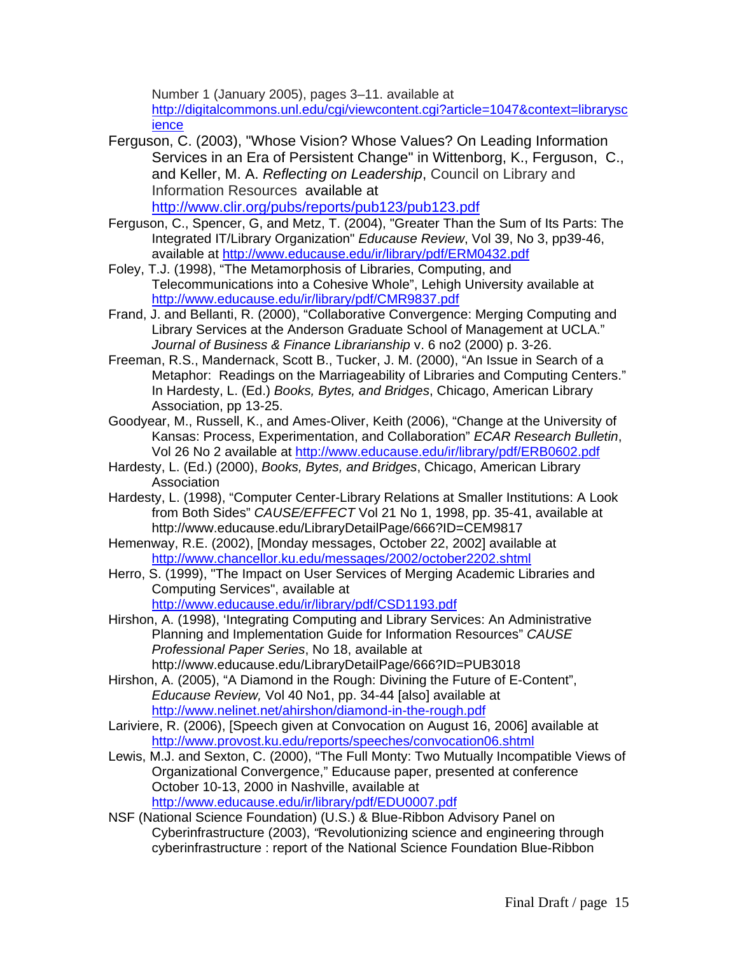Number 1 (January 2005), pages 3–11. available at http://digitalcommons.unl.edu/cgi/viewcontent.cgi?article=1047&context=librarysc ience

- Ferguson, C. (2003), "Whose Vision? Whose Values? On Leading Information Services in an Era of Persistent Change" in Wittenborg, K., Ferguson, C., and Keller, M. A. *Reflecting on Leadership*, Council on Library and Information Resources available at http://www.clir.org/pubs/reports/pub123/pub123.pdf
- Ferguson, C., Spencer, G, and Metz, T. (2004), "Greater Than the Sum of Its Parts: The Integrated IT/Library Organization" *Educause Review*, Vol 39, No 3, pp39-46, available at http://www.educause.edu/ir/library/pdf/ERM0432.pdf
- Foley, T.J. (1998), "The Metamorphosis of Libraries, Computing, and Telecommunications into a Cohesive Whole", Lehigh University available at http://www.educause.edu/ir/library/pdf/CMR9837.pdf
- Frand, J. and Bellanti, R. (2000), "Collaborative Convergence: Merging Computing and Library Services at the Anderson Graduate School of Management at UCLA." *Journal of Business & Finance Librarianship* v. 6 no2 (2000) p. 3-26.
- Freeman, R.S., Mandernack, Scott B., Tucker, J. M. (2000), "An Issue in Search of a Metaphor: Readings on the Marriageability of Libraries and Computing Centers." In Hardesty, L. (Ed.) *Books, Bytes, and Bridges*, Chicago, American Library Association, pp 13-25.
- Goodyear, M., Russell, K., and Ames-Oliver, Keith (2006), "Change at the University of Kansas: Process, Experimentation, and Collaboration" *ECAR Research Bulletin*, Vol 26 No 2 available at http://www.educause.edu/ir/library/pdf/ERB0602.pdf
- Hardesty, L. (Ed.) (2000), *Books, Bytes, and Bridges*, Chicago, American Library Association
- Hardesty, L. (1998), "Computer Center-Library Relations at Smaller Institutions: A Look from Both Sides" *CAUSE/EFFECT* Vol 21 No 1, 1998, pp. 35-41, available at http://www.educause.edu/LibraryDetailPage/666?ID=CEM9817
- Hemenway, R.E. (2002), [Monday messages, October 22, 2002] available at http://www.chancellor.ku.edu/messages/2002/october2202.shtml
- Herro, S. (1999), "The Impact on User Services of Merging Academic Libraries and Computing Services", available at http://www.educause.edu/ir/library/pdf/CSD1193.pdf
- Hirshon, A. (1998), 'Integrating Computing and Library Services: An Administrative Planning and Implementation Guide for Information Resources" *CAUSE Professional Paper Series*, No 18, available at http://www.educause.edu/LibraryDetailPage/666?ID=PUB3018
- Hirshon, A. (2005), "A Diamond in the Rough: Divining the Future of E-Content", *Educause Review,* Vol 40 No1, pp. 34-44 [also] available at http://www.nelinet.net/ahirshon/diamond-in-the-rough.pdf
- Lariviere, R. (2006), [Speech given at Convocation on August 16, 2006] available at http://www.provost.ku.edu/reports/speeches/convocation06.shtml
- Lewis, M.J. and Sexton, C. (2000), "The Full Monty: Two Mutually Incompatible Views of Organizational Convergence," Educause paper, presented at conference October 10-13, 2000 in Nashville, available at http://www.educause.edu/ir/library/pdf/EDU0007.pdf
- NSF (National Science Foundation) (U.S.) & Blue-Ribbon Advisory Panel on Cyberinfrastructure (2003), *"*Revolutionizing science and engineering through cyberinfrastructure : report of the National Science Foundation Blue-Ribbon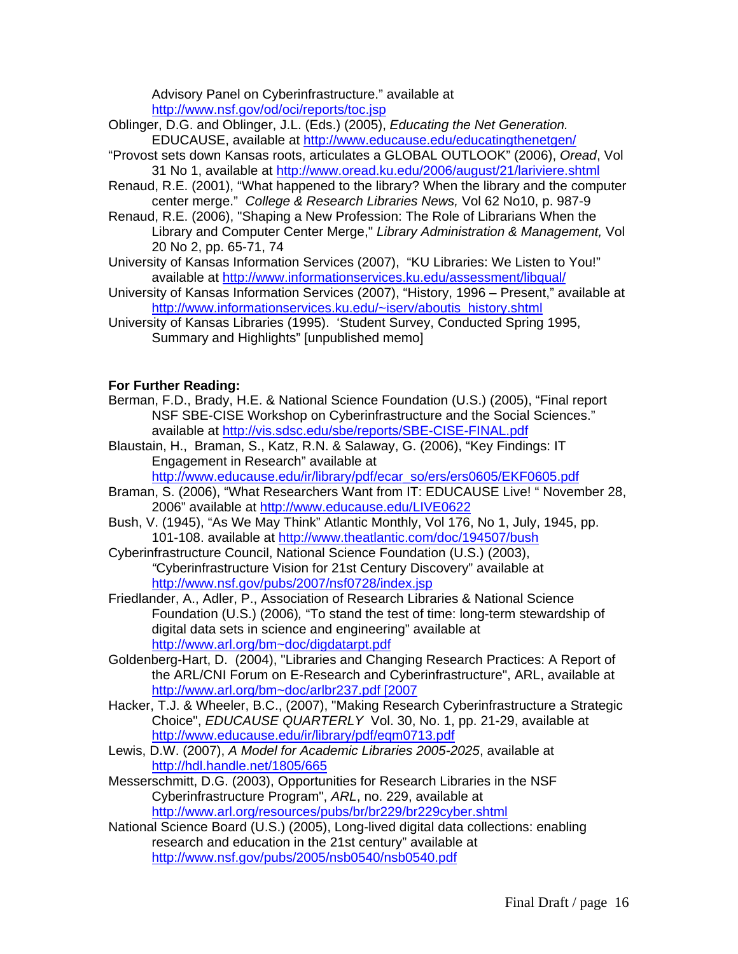Advisory Panel on Cyberinfrastructure." available at http://www.nsf.gov/od/oci/reports/toc.jsp

Oblinger, D.G. and Oblinger, J.L. (Eds.) (2005), *Educating the Net Generation.*  EDUCAUSE, available at http://www.educause.edu/educatingthenetgen/

- "Provost sets down Kansas roots, articulates a GLOBAL OUTLOOK" (2006), *Oread*, Vol 31 No 1, available at http://www.oread.ku.edu/2006/august/21/lariviere.shtml
- Renaud, R.E. (2001), "What happened to the library? When the library and the computer center merge." *College & Research Libraries News,* Vol 62 No10, p. 987-9
- Renaud, R.E. (2006), "Shaping a New Profession: The Role of Librarians When the Library and Computer Center Merge," *Library Administration & Management,* Vol 20 No 2, pp. 65-71, 74
- University of Kansas Information Services (2007), "KU Libraries: We Listen to You!" available at http://www.informationservices.ku.edu/assessment/libqual/
- University of Kansas Information Services (2007), "History, 1996 Present," available at http://www.informationservices.ku.edu/~iserv/aboutis\_history.shtml
- University of Kansas Libraries (1995). 'Student Survey, Conducted Spring 1995, Summary and Highlights" [unpublished memo]

## **For Further Reading:**

- Berman, F.D., Brady, H.E. & National Science Foundation (U.S.) (2005), "Final report NSF SBE-CISE Workshop on Cyberinfrastructure and the Social Sciences." available at http://vis.sdsc.edu/sbe/reports/SBE-CISE-FINAL.pdf
- Blaustain, H., Braman, S., Katz, R.N. & Salaway, G. (2006), "Key Findings: IT Engagement in Research" available at

http://www.educause.edu/ir/library/pdf/ecar\_so/ers/ers0605/EKF0605.pdf

- Braman, S. (2006), "What Researchers Want from IT: EDUCAUSE Live! " November 28, 2006" available at http://www.educause.edu/LIVE0622
- Bush, V. (1945), "As We May Think" Atlantic Monthly, Vol 176, No 1, July, 1945, pp. 101-108. available at http://www.theatlantic.com/doc/194507/bush
- Cyberinfrastructure Council, National Science Foundation (U.S.) (2003), *"*Cyberinfrastructure Vision for 21st Century Discovery" available at http://www.nsf.gov/pubs/2007/nsf0728/index.jsp
- Friedlander, A., Adler, P., Association of Research Libraries & National Science Foundation (U.S.) (2006)*,* "To stand the test of time: long-term stewardship of digital data sets in science and engineering" available at http://www.arl.org/bm~doc/digdatarpt.pdf
- Goldenberg-Hart, D. (2004), "Libraries and Changing Research Practices: A Report of the ARL/CNI Forum on E-Research and Cyberinfrastructure", ARL, available at http://www.arl.org/bm~doc/arlbr237.pdf [2007
- Hacker, T.J. & Wheeler, B.C., (2007), "Making Research Cyberinfrastructure a Strategic Choice", *EDUCAUSE QUARTERLY* Vol. 30, No. 1, pp. 21-29, available at http://www.educause.edu/ir/library/pdf/eqm0713.pdf
- Lewis, D.W. (2007), *A Model for Academic Libraries 2005-2025*, available at http://hdl.handle.net/1805/665
- Messerschmitt, D.G. (2003), Opportunities for Research Libraries in the NSF Cyberinfrastructure Program", *ARL*, no. 229, available at http://www.arl.org/resources/pubs/br/br229/br229cyber.shtml
- National Science Board (U.S.) (2005), Long-lived digital data collections: enabling research and education in the 21st century" available at http://www.nsf.gov/pubs/2005/nsb0540/nsb0540.pdf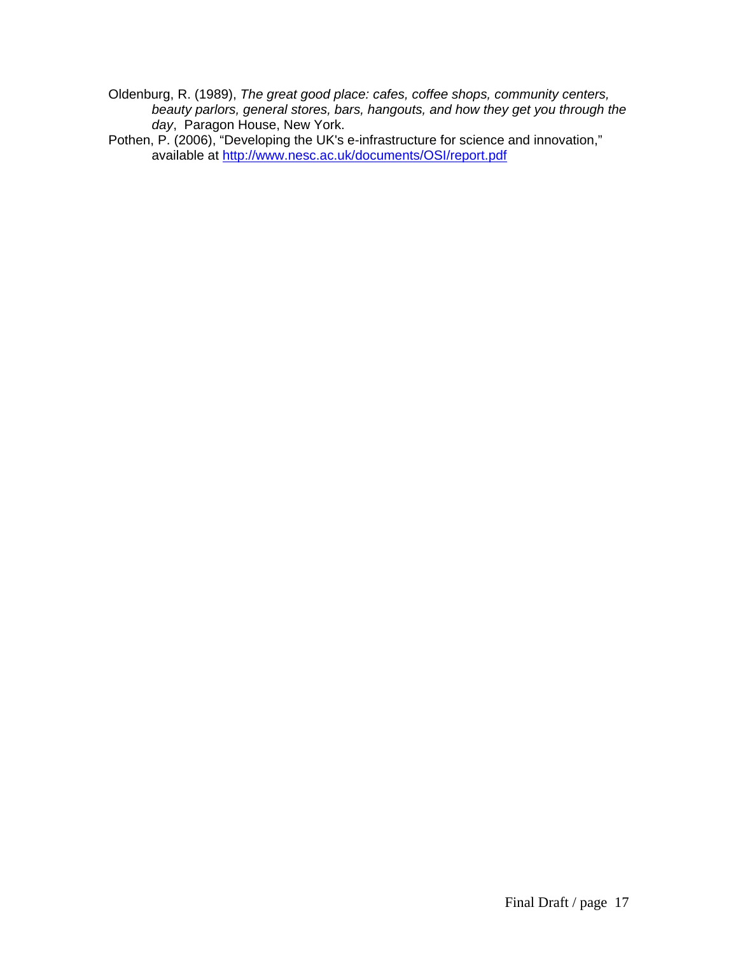Oldenburg, R. (1989), *The great good place: cafes, coffee shops, community centers, beauty parlors, general stores, bars, hangouts, and how they get you through the day*, Paragon House, New York.

Pothen, P. (2006), "Developing the UK's e-infrastructure for science and innovation," available at http://www.nesc.ac.uk/documents/OSI/report.pdf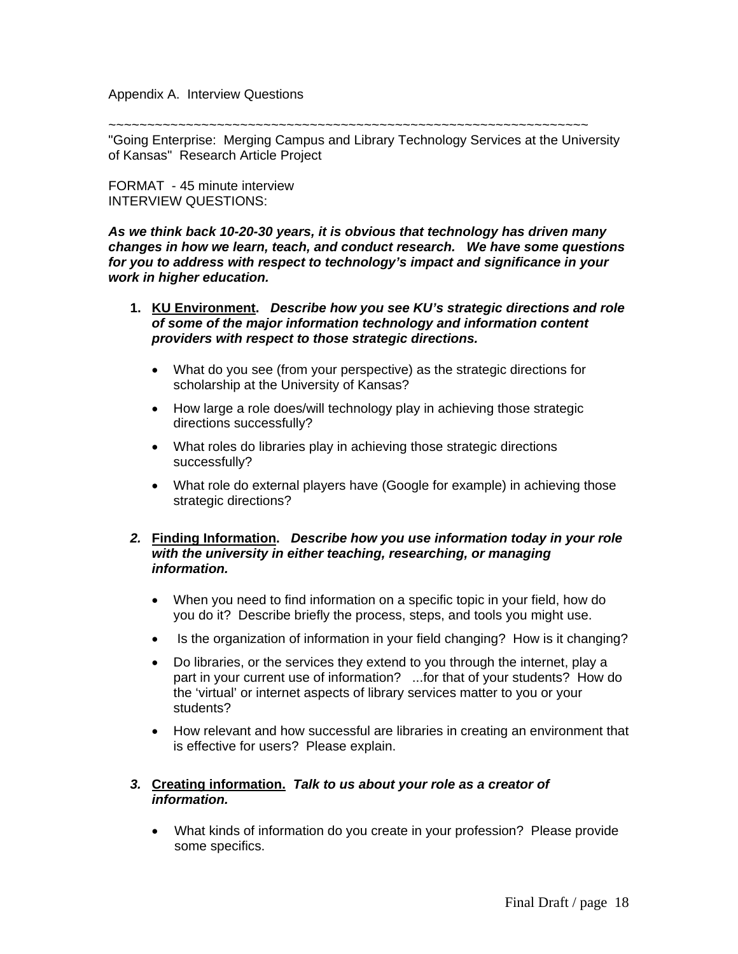~~~~~~~~~~~~~~~~~~~~~~~~~~~~~~~~~~~~~~~~~~~~~~~~~~~~~~~~~~~~~~

"Going Enterprise: Merging Campus and Library Technology Services at the University of Kansas" Research Article Project

FORMAT - 45 minute interview INTERVIEW QUESTIONS:

*As we think back 10-20-30 years, it is obvious that technology has driven many changes in how we learn, teach, and conduct research. We have some questions for you to address with respect to technology's impact and significance in your work in higher education.*

- **1. KU Environment.** *Describe how you see KU's strategic directions and role of some of the major information technology and information content providers with respect to those strategic directions.*
	- What do you see (from your perspective) as the strategic directions for scholarship at the University of Kansas?
	- How large a role does/will technology play in achieving those strategic directions successfully?
	- What roles do libraries play in achieving those strategic directions successfully?
	- What role do external players have (Google for example) in achieving those strategic directions?

#### *2.* **Finding Information.** *Describe how you use information today in your role with the university in either teaching, researching, or managing information.*

- When you need to find information on a specific topic in your field, how do you do it? Describe briefly the process, steps, and tools you might use.
- Is the organization of information in your field changing? How is it changing?
- Do libraries, or the services they extend to you through the internet, play a part in your current use of information? ...for that of your students? How do the 'virtual' or internet aspects of library services matter to you or your students?
- How relevant and how successful are libraries in creating an environment that is effective for users? Please explain.

#### *3.* **Creating information.** *Talk to us about your role as a creator of information.*

• What kinds of information do you create in your profession? Please provide some specifics.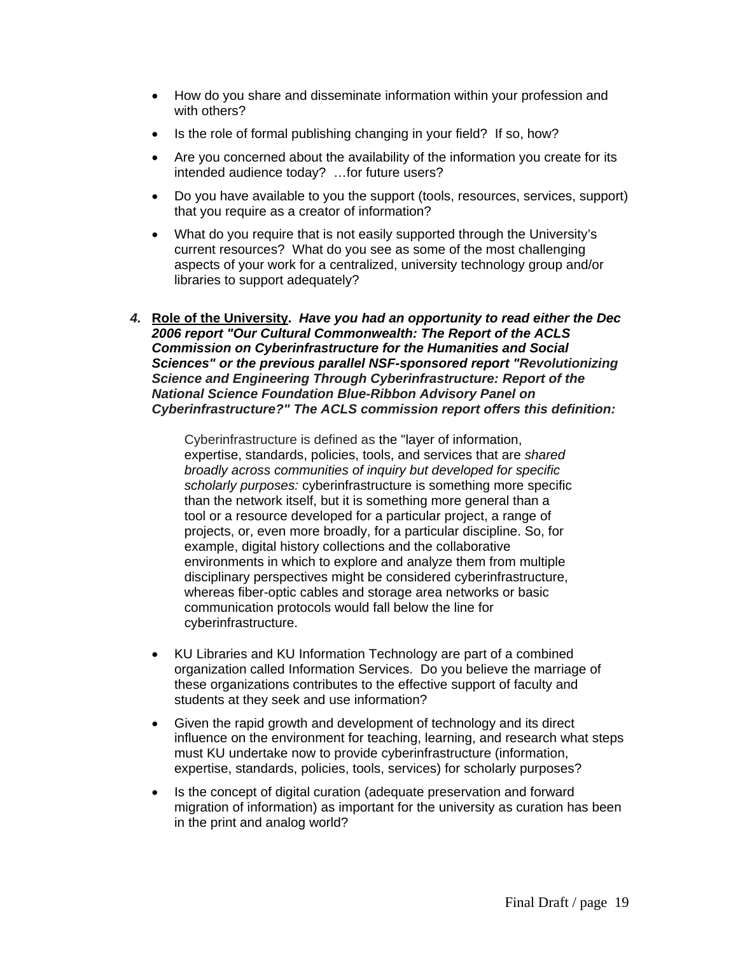- How do you share and disseminate information within your profession and with others?
- Is the role of formal publishing changing in your field? If so, how?
- Are you concerned about the availability of the information you create for its intended audience today? …for future users?
- Do you have available to you the support (tools, resources, services, support) that you require as a creator of information?
- What do you require that is not easily supported through the University's current resources? What do you see as some of the most challenging aspects of your work for a centralized, university technology group and/or libraries to support adequately?
- *4.* **Role of the University.** *Have you had an opportunity to read either the Dec 2006 report "Our Cultural Commonwealth: The Report of the ACLS Commission on Cyberinfrastructure for the Humanities and Social Sciences" or the previous parallel NSF-sponsored report "Revolutionizing Science and Engineering Through Cyberinfrastructure: Report of the National Science Foundation Blue-Ribbon Advisory Panel on Cyberinfrastructure?" The ACLS commission report offers this definition:*

Cyberinfrastructure is defined as the "layer of information, expertise, standards, policies, tools, and services that are *shared broadly across communities of inquiry but developed for specific scholarly purposes:* cyberinfrastructure is something more specific than the network itself, but it is something more general than a tool or a resource developed for a particular project, a range of projects, or, even more broadly, for a particular discipline. So, for example, digital history collections and the collaborative environments in which to explore and analyze them from multiple disciplinary perspectives might be considered cyberinfrastructure, whereas fiber-optic cables and storage area networks or basic communication protocols would fall below the line for cyberinfrastructure.

- KU Libraries and KU Information Technology are part of a combined organization called Information Services. Do you believe the marriage of these organizations contributes to the effective support of faculty and students at they seek and use information?
- Given the rapid growth and development of technology and its direct influence on the environment for teaching, learning, and research what steps must KU undertake now to provide cyberinfrastructure (information, expertise, standards, policies, tools, services) for scholarly purposes?
- Is the concept of digital curation (adequate preservation and forward migration of information) as important for the university as curation has been in the print and analog world?